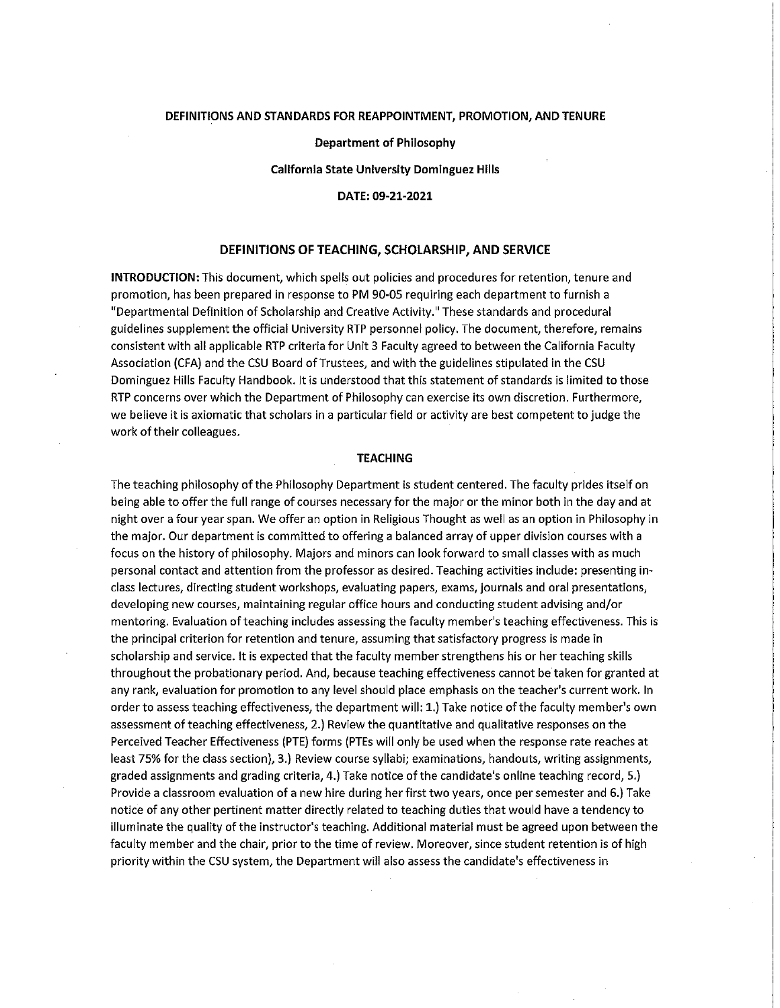### **DEFINITIONS AND STANDARDS FOR REAPPOINTMENT, PROMOTION, AND TENURE**

**Department of Philosophy** 

**California State University Dominguez Hills** 

**DATE: 09-21-2021** 

### **DEFINITIONS OF TEACHING, SCHOLARSHIP, AND SERVICE**

**INTRODUCTION:** This document, which spells out policies and procedures for retention, tenure and promotion, has been prepared in response to PM 90-05 requiring each department to furnish a "Departmental Definition of Scholarship and Creative Activity." These standards and procedural guidelines supplement the official University RTP personnel policy. The document, therefore, remains consistent with all applicable RTP criteria for Unit 3 Faculty agreed to between the California Faculty Association (CFA) and the CSU Board of Trustees, and with the guidelines stipulated in the CSU Dominguez Hills Faculty Handbook. It is understood that this statement of standards is limited to those RTP concerns over which the Department of Philosophy can exercise its own discretion. Furthermore, we believe it is axiomatic that scholars in a particular field or activity are best competent to judge the work of their colleagues.

#### **TEACHING**

The teaching philosophy of the Philosophy Department is student centered. The faculty prides itself on being able to offer the full range of courses necessary for the major or the minor both in the day and at night over a four year span. We offer an option in Religious Thought as well as an option in Philosophy in the major. Our department is committed to offering a balanced array of upper division courses with a focus on the history of philosophy. Majors and minors can look forward to small classes with as much personal contact and attention from the professor as desired. Teaching activities include: presenting in**class lectures, directing student workshops, evaluating papers, exams, journals and oral presentations,**  developing new courses, maintaining regular office hours and conducting student advising and/or mentoring. Evaluation of teaching includes assessing the faculty member's teaching effectiveness. This is the principal criterion for retention and tenure, assuming that satisfactory progress is made in scholarship and service. It is expected that the faculty member strengthens his or her teaching skills throughout the probationary period. And, because teaching effectiveness cannot be taken for granted at any rank, evaluation for promotion to any level should place emphasis on the teacher's current work. In order to assess teaching effectiveness, the department will: 1.) Take notice of the faculty member's own assessment of teaching effectiveness, 2.) Review the quantitative and qualitative responses on the Perceived Teacher Effectiveness (PTE) forms (PTEs will only be used when the response rate reaches at least 75% for the class section), 3.) Review course syllabi; examinations, handouts, writing assignments, graded assignments and grading criteria, 4.) Take notice of the candidate's online teaching record, 5.) Provide a classroom evaluation of a new hire during her first two years, once per semester and 6.) Take notice of any other pertinent matter directly related to teaching duties that would have a tendency to illuminate the quality of the instructor's teaching. Additional material must be agreed upon between the faculty member and the chair, prior to the time of review. Moreover, since student retention is of high priority within the CSU system, the Department will also assess the candidate's effectiveness in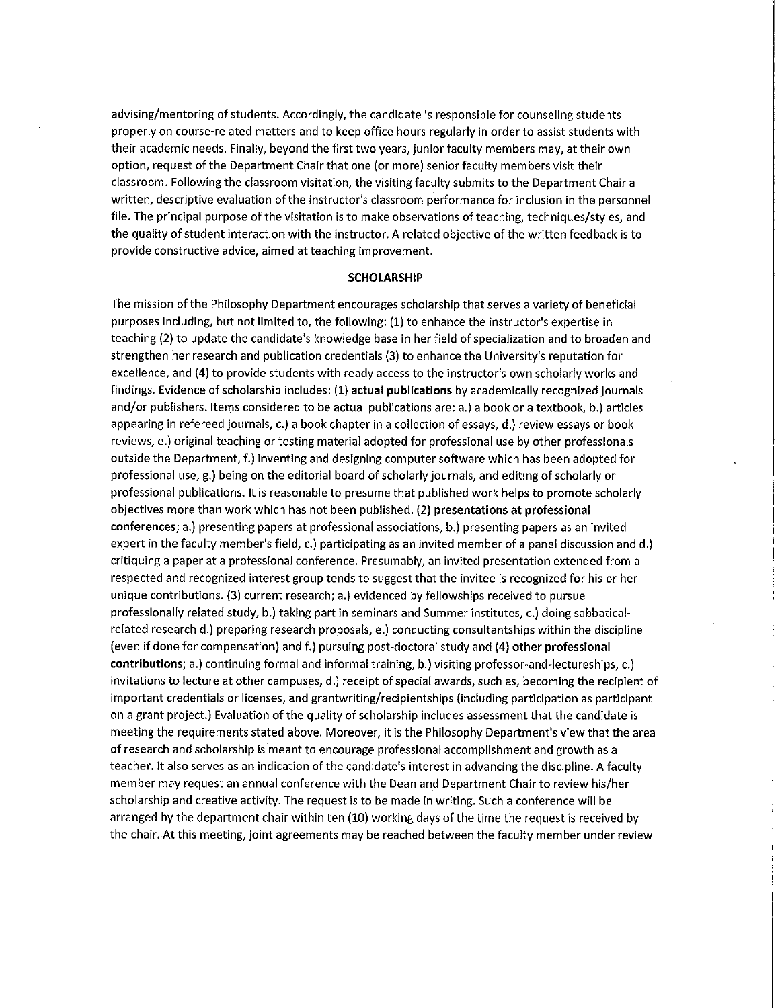advising/mentoring of students. Accordingly, the candidate is responsible for counseling students properly on course-related matters and to keep office hours regularly in order to assist students with their academic needs. Finally, beyond the first two years, junior faculty members may, at their own option, request of the Department Chair that one (or more) senior faculty members visit their classroom. Following the classroom visitation, the visiting faculty submits to the Department Chair a written, descriptive evaluation of the instructor's classroom performance for inclusion in the personnel file. The principal purpose of the visitation is to make observations of teaching, techniques/styles, and the quality of student interaction with the instructor. A related objective of the written feedback is to **provide constructive advice, aimed at teaching improvement.** 

#### **SCHOLARSHIP**

The mission of the Philosophy Department encourages scholarship that serves a variety of beneficial purposes including, but not limited to, the following: **(1)** to enhance the instructor's expertise in teaching (2) to update the candidate's knowledge base in her field of specialization and to broaden and strengthen her research and publication credentials (3) to enhance the University's reputation for excellence, and (4) to provide students with ready access to the instructor's own scholarly works and findings. Evidence of scholarship includes: (1) **actual publications** by academically recognized journals and/or publishers. Items considered to be actual publications are: a.) a book or a textbook, b.) articles appearing in refereed journals, c.) a book chapter in a collection of essays, d.) review essays or book reviews, e.) original teaching or testing material adopted for professional use by other professionals outside the Department, f.) inventing and designing computer software which has been adopted for professional use, g.) being on the editorial board of scholarly journals, and editing of scholarly or professional publications. It is reasonable to presume that published work helps to promote scholarly objectives more than work which has not been published. (2) **presentations at professional conferences;** a.) presenting papers at professional associations, b.) presenting papers as an invited expert in the faculty member's field, c.) participating as an invited member of a panel discussion and d.) critiquing a paper at a professional conference. Presumably, an invited presentation extended from a respected and recognized interest group tends to suggest that the invitee is recognized for his or her unique contributions. (3) current research; a.) evidenced by fellowships received to pursue professionally related study, b.) taking part in seminars and Summer institutes, c.) doing sabbaticalrelated research d.) preparing research proposals, e.) conducting consultantships within the discipline (even if done for compensation) and f.) pursuing post-doctoral study and (4) **other professional contributions;** a.) continuing formal and informal training, b.) visiting professor-and-lectureships, c.) invitations to lecture at other campuses, d.) receipt of special awards, such as, becoming the recipient of important credentials or licenses, and grantwriting/recipientships (including participation as participant on a grant project.) Evaluation of the quality of scholarship includes assessment that the candidate is meeting the requirements stated above. Moreover, it is the Philosophy Department's view that the area of research and scholarship is meant to encourage professional accomplishment and growth as a teacher. It also serves as an indication of the candidate's interest in advancing the discipline. A faculty member may request an annual conference with the Dean and Department Chair to review his/her scholarship and creative activity. The request is to be made in writing. Such a conference will be arranged by the department chair within ten (10) working days of the time the request is received by the chair. At this meeting, joint agreements may be reached between the faculty member under review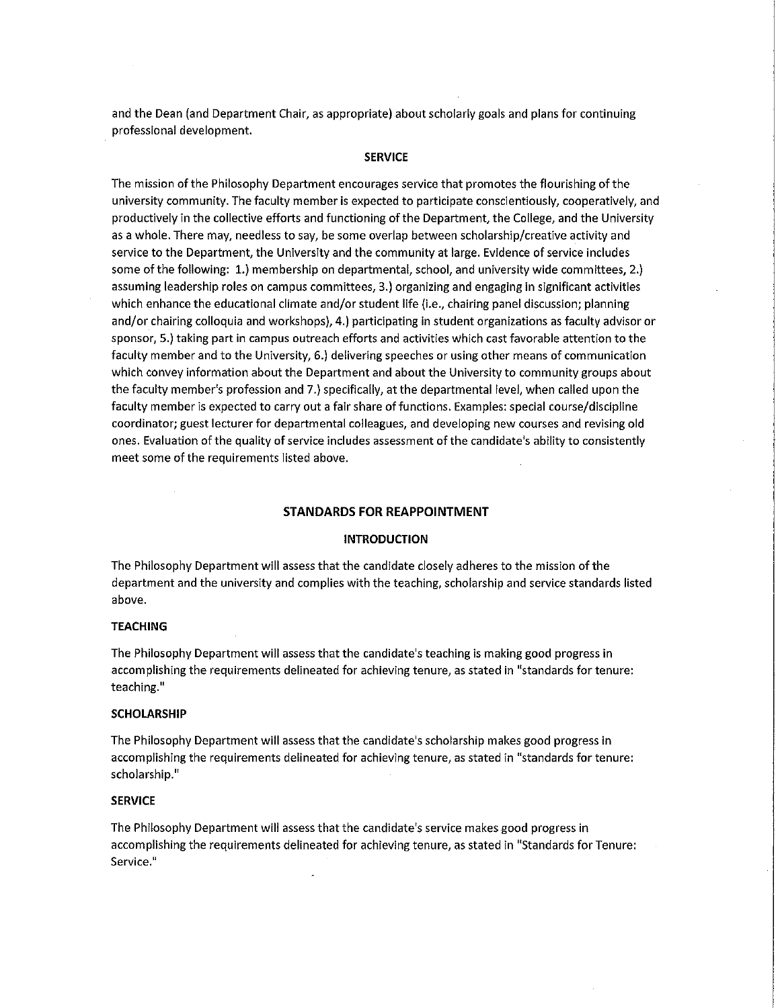and the Dean (and Department Chair, as appropriate) about scholarly goals and plans for continuing professional development.

### **SERVICE**

The mission of the Philosophy Department encourages service that promotes the flourishing of the university community. The faculty member is expected to participate conscientiously, cooperatively, and productively in the collective efforts and functioning of the Department, the College, and the University as a whole. There may, needless to say, be some overlap between scholarship/creative activity and service to the Department, the University and the community at large. Evidence of service includes some of the following: 1.) membership on departmental, school, and university wide committees, 2.) assuming leadership roles on campus committees, 3.) organizing and engaging in significant activities which enhance the educational climate and/or student life (i.e., chairing panel discussion; planning and/or chairing colloquia and workshops), 4.) participating in student organizations as faculty advisor or sponsor, 5.) taking part in campus outreach efforts and activities which cast favorable attention to the faculty member and to the University, 6.) delivering speeches or using other means of communication which convey information about the Department and about the University to community groups about the faculty member's profession and 7.) specifically, at the departmental level, when called upon the faculty member is expected to carry out a fair share of functions. Examples: special course/discipline coordinator; guest lecturer for departmental colleagues, and developing new courses and revising old ones. Evaluation of the quality of service includes assessment of the candidate's ability to consistently meet some of the requirements listed above.

# **STANDARDS FOR REAPPOINTMENT**

### **INTRODUCTION**

The Philosophy Department will assess that the candidate closely adheres to the mission of the department and the university and complies with the teaching, scholarship and service standards listed above.

#### **TEACHING**

The Philosophy Department will assess that the candidate's teaching is making good progress in accomplishing the requirements delineated for achieving tenure, as stated in "standards for tenure: **teaching. 11** 

#### **SCHOLARSHIP**

The Philosophy Department will assess that the candidate's scholarship makes good progress in accomplishing the requirements delineated for achieving tenure, as stated in "standards for tenure: scholarship."

## **SERVICE**

The Philosophy Department will assess that the candidate's service makes good progress in accomplishing the requirements delineated for achieving tenure, as stated in "Standards for Tenure: Service.<sup>"</sup>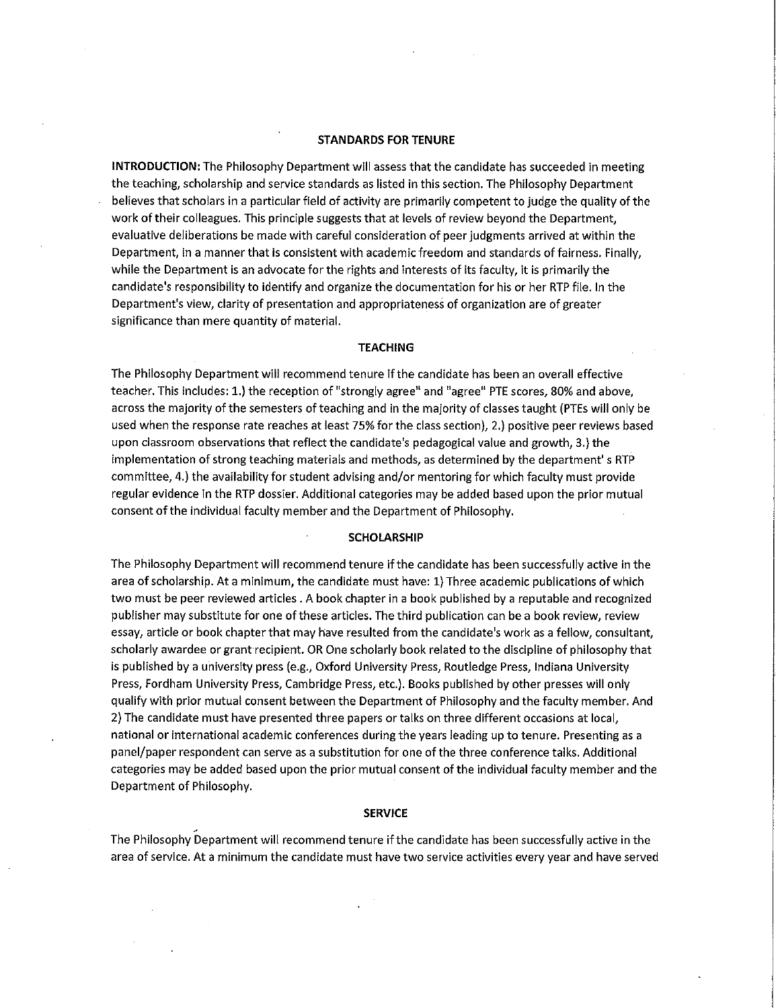### **STANDARDS FOR TENURE**

**INTRODUCTION:** The Philosophy Department will assess that the candidate has succeeded in meeting the teaching, scholarship and service standards as listed in this section. The Philosophy Department believes that scholars in a particular field of activity are primarily competent to judge the quality of the work of their colleagues. This principle suggests that at levels of review beyond the Department, evaluative deliberations be made with careful consideration of peer judgments arrived at within the Department, in a manner that is consistent with academic freedom and standards of fairness. Finally, while the Department is an advocate for the rights and interests of its faculty, it is primarily the candidate's responsibility to identify and organize the documentation for his or her RTP file. In the Department's view, clarity of presentation and appropriateness of organization are of greater significance than mere quantity of material.

### **TEACHING**

The Philosophy Department will recommend tenure if the candidate has been an overall effective **11 11 teacher. This includes: 1.) the reception of 11 strongly agree and 11 agree PTE scores, 80% and above,**  across the majority of the semesters of teaching and in the majority of classes taught (PTEs will only be used when the response rate reaches at least 75% for the class section), 2.) positive peer reviews based upon classroom observations that reflect the candidate's pedagogical value and growth, 3.) the implementation of strong teaching materials and methods, as determined by the department's RTP committee, 4.) the availability for student advising and/or mentoring for which faculty must provide regular evidence in the RTP dossier. Additional categories may be added based upon the prior mutual consent of the individual faculty member and the Department of Philosophy.

#### **SCHOLARSHIP**

The Philosophy Department will recommend tenure if the candidate has been successfully active in the area of scholarship. At a minimum, the candidate must have: 1) Three academic publications of which two must be peer reviewed articles. A book chapter in a book published by a reputable and recognized publisher may substitute for one of these articles. The third publication can be a book review, review essay, article or book chapter that may have resulted from the candidate's work as a fellow, consultant, scholarly awardee or grant recipient. OR One scholarly book related to the discipline of philosophy that is published by a university press (e.g., Oxford University Press, Routledge Press, Indiana University Press, Fordham University Press, Cambridge Press, etc.). Books published by other presses will only qualify with prior mutual consent between the Department of Philosophy and the faculty member. And 2) The candidate must have presented three papers or talks on three different occasions at local, national or international academic conferences during the years leading up to tenure. Presenting as a panel/paper respondent can serve as a substitution for one of the three conference talks. Additional categories may be added based upon the prior mutual consent of the individual faculty member and the Department of Philosophy.

#### **SERVICE**

The Philosophy Department will recommend tenure if the candidate has been successfully active in the area of service. At a minimum the candidate must have two service activities every year and have served